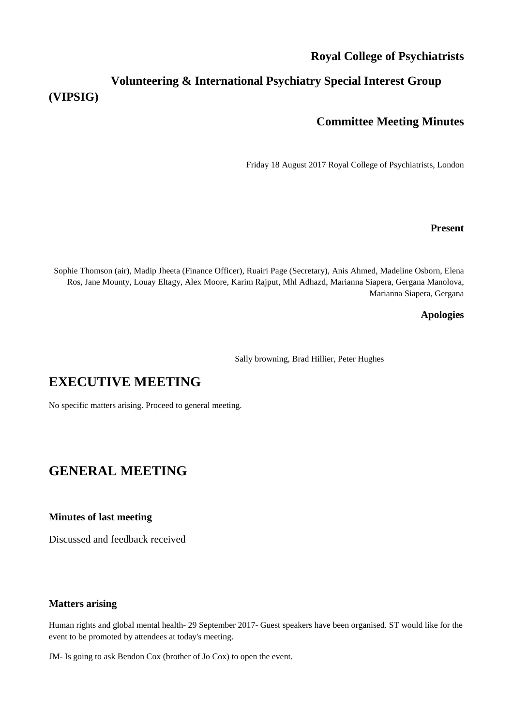### **Royal College of Psychiatrists**

## **Volunteering & International Psychiatry Special Interest Group (VIPSIG)**

### **Committee Meeting Minutes**

Friday 18 August 2017 Royal College of Psychiatrists, London

#### **Present**

Sophie Thomson (air), Madip Jheeta (Finance Officer), Ruairi Page (Secretary), Anis Ahmed, Madeline Osborn, Elena Ros, Jane Mounty, Louay Eltagy, Alex Moore, Karim Rajput, Mhl Adhazd, Marianna Siapera, Gergana Manolova, Marianna Siapera, Gergana

#### **Apologies**

Sally browning, Brad Hillier, Peter Hughes

# **EXECUTIVE MEETING**

No specific matters arising. Proceed to general meeting.

# **GENERAL MEETING**

#### **Minutes of last meeting**

Discussed and feedback received

#### **Matters arising**

Human rights and global mental health- 29 September 2017- Guest speakers have been organised. ST would like for the event to be promoted by attendees at today's meeting.

JM- Is going to ask Bendon Cox (brother of Jo Cox) to open the event.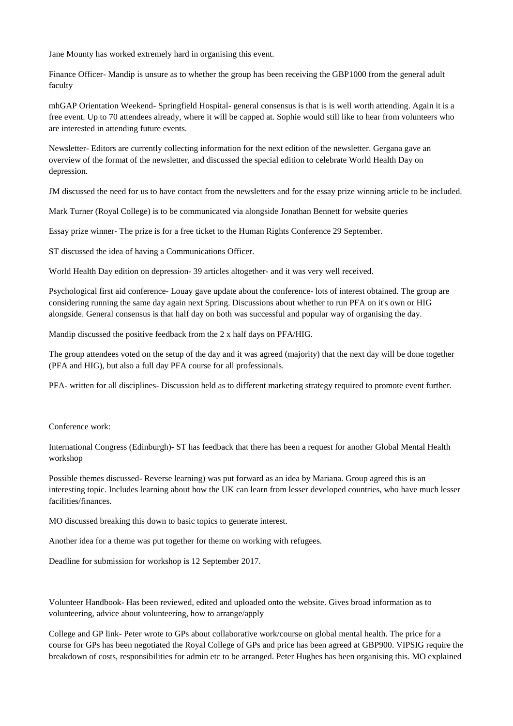Jane Mounty has worked extremely hard in organising this event.

Finance Officer- Mandip is unsure as to whether the group has been receiving the GBP1000 from the general adult faculty

mhGAP Orientation Weekend- Springfield Hospital- general consensus is that is is well worth attending. Again it is a free event. Up to 70 attendees already, where it will be capped at. Sophie would still like to hear from volunteers who are interested in attending future events.

Newsletter- Editors are currently collecting information for the next edition of the newsletter. Gergana gave an overview of the format of the newsletter, and discussed the special edition to celebrate World Health Day on depression.

JM discussed the need for us to have contact from the newsletters and for the essay prize winning article to be included.

Mark Turner (Royal College) is to be communicated via alongside Jonathan Bennett for website queries

Essay prize winner- The prize is for a free ticket to the Human Rights Conference 29 September.

ST discussed the idea of having a Communications Officer.

World Health Day edition on depression- 39 articles altogether- and it was very well received.

Psychological first aid conference- Louay gave update about the conference- lots of interest obtained. The group are considering running the same day again next Spring. Discussions about whether to run PFA on it's own or HIG alongside. General consensus is that half day on both was successful and popular way of organising the day.

Mandip discussed the positive feedback from the 2 x half days on PFA/HIG.

The group attendees voted on the setup of the day and it was agreed (majority) that the next day will be done together (PFA and HIG), but also a full day PFA course for all professionals.

PFA- written for all disciplines- Discussion held as to different marketing strategy required to promote event further.

Conference work:

International Congress (Edinburgh)- ST has feedback that there has been a request for another Global Mental Health workshop

Possible themes discussed- Reverse learning) was put forward as an idea by Mariana. Group agreed this is an interesting topic. Includes learning about how the UK can learn from lesser developed countries, who have much lesser facilities/finances.

MO discussed breaking this down to basic topics to generate interest.

Another idea for a theme was put together for theme on working with refugees.

Deadline for submission for workshop is 12 September 2017.

Volunteer Handbook- Has been reviewed, edited and uploaded onto the website. Gives broad information as to volunteering, advice about volunteering, how to arrange/apply

College and GP link- Peter wrote to GPs about collaborative work/course on global mental health. The price for a course for GPs has been negotiated the Royal College of GPs and price has been agreed at GBP900. VIPSIG require the breakdown of costs, responsibilities for admin etc to be arranged. Peter Hughes has been organising this. MO explained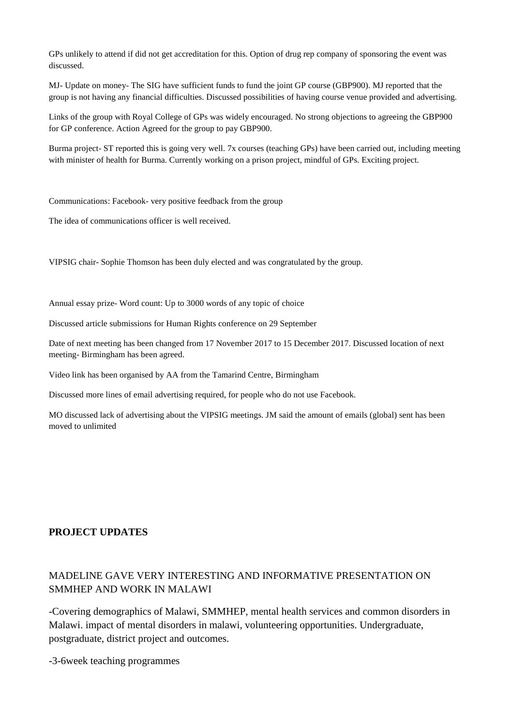GPs unlikely to attend if did not get accreditation for this. Option of drug rep company of sponsoring the event was discussed.

MJ- Update on money- The SIG have sufficient funds to fund the joint GP course (GBP900). MJ reported that the group is not having any financial difficulties. Discussed possibilities of having course venue provided and advertising.

Links of the group with Royal College of GPs was widely encouraged. No strong objections to agreeing the GBP900 for GP conference. Action Agreed for the group to pay GBP900.

Burma project- ST reported this is going very well. 7x courses (teaching GPs) have been carried out, including meeting with minister of health for Burma. Currently working on a prison project, mindful of GPs. Exciting project.

Communications: Facebook- very positive feedback from the group

The idea of communications officer is well received.

VIPSIG chair- Sophie Thomson has been duly elected and was congratulated by the group.

Annual essay prize- Word count: Up to 3000 words of any topic of choice

Discussed article submissions for Human Rights conference on 29 September

Date of next meeting has been changed from 17 November 2017 to 15 December 2017. Discussed location of next meeting- Birmingham has been agreed.

Video link has been organised by AA from the Tamarind Centre, Birmingham

Discussed more lines of email advertising required, for people who do not use Facebook.

MO discussed lack of advertising about the VIPSIG meetings. JM said the amount of emails (global) sent has been moved to unlimited

#### **PROJECT UPDATES**

### MADELINE GAVE VERY INTERESTING AND INFORMATIVE PRESENTATION ON SMMHEP AND WORK IN MALAWI

-Covering demographics of Malawi, SMMHEP, mental health services and common disorders in Malawi. impact of mental disorders in malawi, volunteering opportunities. Undergraduate, postgraduate, district project and outcomes.

-3-6week teaching programmes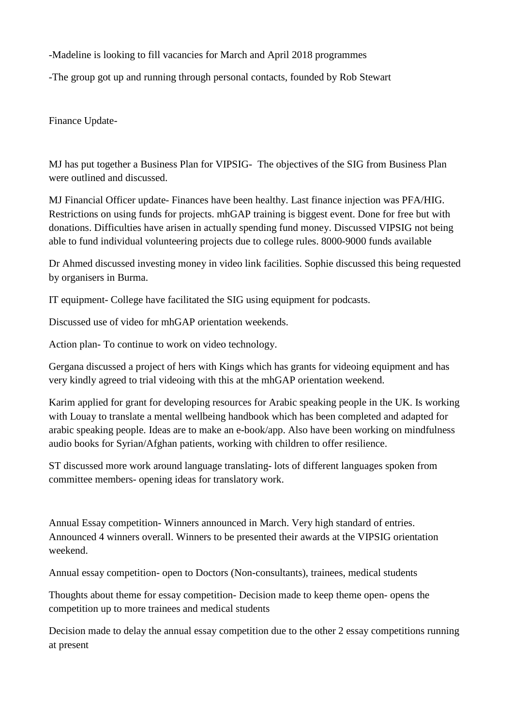-Madeline is looking to fill vacancies for March and April 2018 programmes

-The group got up and running through personal contacts, founded by Rob Stewart

Finance Update-

MJ has put together a Business Plan for VIPSIG- The objectives of the SIG from Business Plan were outlined and discussed.

MJ Financial Officer update- Finances have been healthy. Last finance injection was PFA/HIG. Restrictions on using funds for projects. mhGAP training is biggest event. Done for free but with donations. Difficulties have arisen in actually spending fund money. Discussed VIPSIG not being able to fund individual volunteering projects due to college rules. 8000-9000 funds available

Dr Ahmed discussed investing money in video link facilities. Sophie discussed this being requested by organisers in Burma.

IT equipment- College have facilitated the SIG using equipment for podcasts.

Discussed use of video for mhGAP orientation weekends.

Action plan- To continue to work on video technology.

Gergana discussed a project of hers with Kings which has grants for videoing equipment and has very kindly agreed to trial videoing with this at the mhGAP orientation weekend.

Karim applied for grant for developing resources for Arabic speaking people in the UK. Is working with Louay to translate a mental wellbeing handbook which has been completed and adapted for arabic speaking people. Ideas are to make an e-book/app. Also have been working on mindfulness audio books for Syrian/Afghan patients, working with children to offer resilience.

ST discussed more work around language translating- lots of different languages spoken from committee members- opening ideas for translatory work.

Annual Essay competition- Winners announced in March. Very high standard of entries. Announced 4 winners overall. Winners to be presented their awards at the VIPSIG orientation weekend.

Annual essay competition- open to Doctors (Non-consultants), trainees, medical students

Thoughts about theme for essay competition- Decision made to keep theme open- opens the competition up to more trainees and medical students

Decision made to delay the annual essay competition due to the other 2 essay competitions running at present